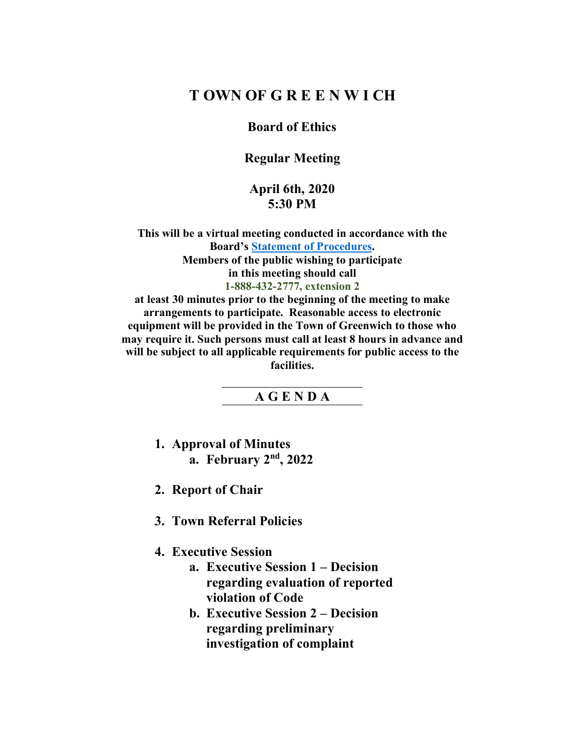# **T OWN OF G R E E N W I CH**

### **Board of Ethics**

## **Regular Meeting**

### **April 6th, 2020 5:30 PM**

**This will be a virtual meeting conducted in accordance with the Board's Statement of Procedures. Members of the public wishing to participate in this meeting should call 1-888-432-2777, extension 2** 

**at least 30 minutes prior to the beginning of the meeting to make arrangements to participate. Reasonable access to electronic equipment will be provided in the Town of Greenwich to those who may require it. Such persons must call at least 8 hours in advance and will be subject to all applicable requirements for public access to the facilities.**

#### **A G E N D A**

- **1. Approval of Minutes a. February 2nd, 2022**
- **2. Report of Chair**
- **3. Town Referral Policies**

### **4. Executive Session**

- **a. Executive Session 1 – Decision regarding evaluation of reported violation of Code**
- **b. Executive Session 2 – Decision regarding preliminary investigation of complaint**